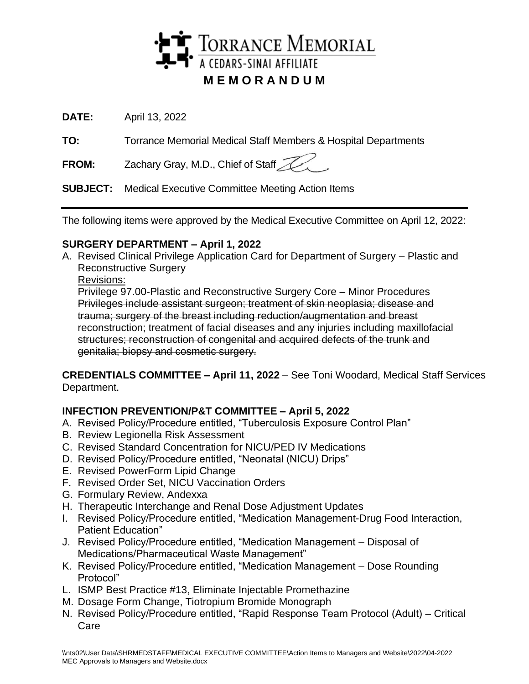

**DATE:** April 13, 2022

**TO:** Torrance Memorial Medical Staff Members & Hospital Departments

**FROM:** Zachary Gray, M.D., Chief of Staff

**SUBJECT:** Medical Executive Committee Meeting Action Items

The following items were approved by the Medical Executive Committee on April 12, 2022:

## **SURGERY DEPARTMENT – April 1, 2022**

A. Revised Clinical Privilege Application Card for Department of Surgery – Plastic and Reconstructive Surgery

Revisions:

Privilege 97.00-Plastic and Reconstructive Surgery Core – Minor Procedures Privileges include assistant surgeon; treatment of skin neoplasia; disease and trauma; surgery of the breast including reduction/augmentation and breast reconstruction; treatment of facial diseases and any injuries including maxillofacial structures; reconstruction of congenital and acquired defects of the trunk and genitalia; biopsy and cosmetic surgery.

**CREDENTIALS COMMITTEE – April 11, 2022** – See Toni Woodard, Medical Staff Services Department.

# **INFECTION PREVENTION/P&T COMMITTEE – April 5, 2022**

- A. Revised Policy/Procedure entitled, "Tuberculosis Exposure Control Plan"
- B. Review Legionella Risk Assessment
- C. Revised Standard Concentration for NICU/PED IV Medications
- D. Revised Policy/Procedure entitled, "Neonatal (NICU) Drips"
- E. Revised PowerForm Lipid Change
- F. Revised Order Set, NICU Vaccination Orders
- G. Formulary Review, Andexxa
- H. Therapeutic Interchange and Renal Dose Adjustment Updates
- I. Revised Policy/Procedure entitled, "Medication Management-Drug Food Interaction, Patient Education"
- J. Revised Policy/Procedure entitled, "Medication Management Disposal of Medications/Pharmaceutical Waste Management"
- K. Revised Policy/Procedure entitled, "Medication Management Dose Rounding Protocol"
- L. ISMP Best Practice #13, Eliminate Injectable Promethazine
- M. Dosage Form Change, Tiotropium Bromide Monograph
- N. Revised Policy/Procedure entitled, "Rapid Response Team Protocol (Adult) Critical Care